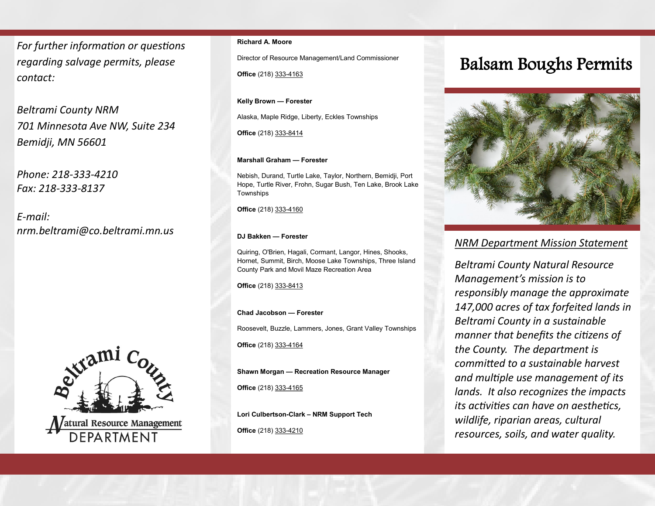*For further information or questions regarding salvage permits, please contact:*

*Beltrami County NRM 701 Minnesota Ave NW, Suite 234 Bemidji, MN 56601*

*Phone: 218-333-4210 Fax: 218-333-8137*

*E-mail: nrm.beltrami@co.beltrami.mn.us*



### **Richard A. Moore**

Director of Resource Management/Land Commissioner

**Office** (218) 333-4163

**Kelly Brown — Forester** 

Alaska, Maple Ridge, Liberty, Eckles Townships

**Office** (218) 333-8414

### **Marshall Graham — Forester**

Nebish, Durand, Turtle Lake, Taylor, Northern, Bemidji, Port Hope, Turtle River, Frohn, Sugar Bush, Ten Lake, Brook Lake Townships

**Office** (218) 333-4160

### **DJ Bakken — Forester**

Quiring, O'Brien, Hagali, Cormant, Langor, Hines, Shooks, Hornet, Summit, Birch, Moose Lake Townships, Three Island County Park and Movil Maze Recreation Area

**Office** (218) 333-8413

### **Chad Jacobson — Forester**

Roosevelt, Buzzle, Lammers, Jones, Grant Valley Townships

**Office** (218) 333-4164

**Shawn Morgan — Recreation Resource Manager**

**Office** (218) 333-4165

**Lori Culbertson-Clark – NRM Support Tech Office** (218) 333-4210

## Balsam Boughs Permits



### *NRM Department Mission Statement*

*Beltrami County Natural Resource Management's mission is to responsibly manage the approximate 147,000 acres of tax forfeited lands in Beltrami County in a sustainable manner that benefits the citizens of the County. The department is committed to a sustainable harvest and multiple use management of its lands. It also recognizes the impacts its activities can have on aesthetics, wildlife, riparian areas, cultural resources, soils, and water quality.*